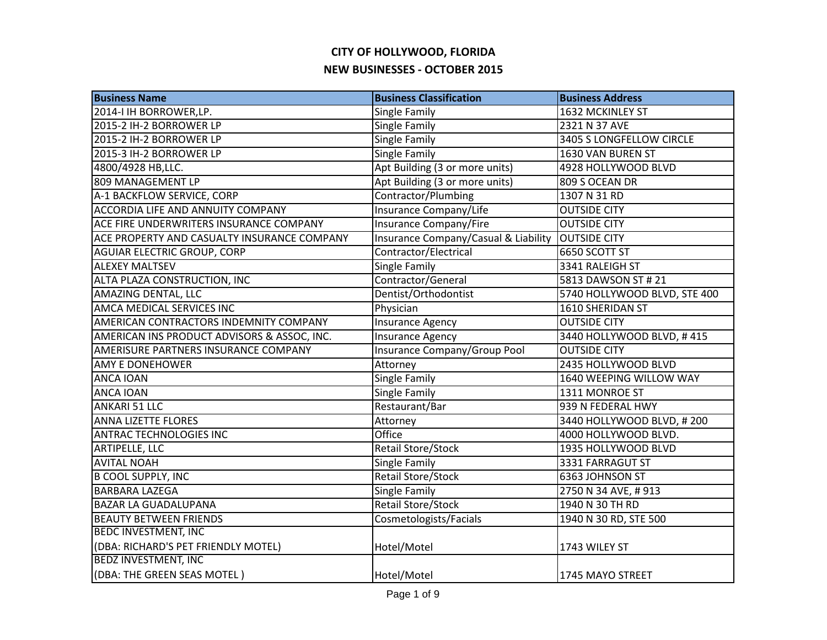| <b>Business Name</b>                        | <b>Business Classification</b>       | <b>Business Address</b>      |
|---------------------------------------------|--------------------------------------|------------------------------|
| 2014-I IH BORROWER, LP.                     | Single Family                        | 1632 MCKINLEY ST             |
| 2015-2 IH-2 BORROWER LP                     | <b>Single Family</b>                 | 2321 N 37 AVE                |
| 2015-2 IH-2 BORROWER LP                     | Single Family                        | 3405 S LONGFELLOW CIRCLE     |
| 2015-3 IH-2 BORROWER LP                     | Single Family                        | 1630 VAN BUREN ST            |
| 4800/4928 HB, LLC.                          | Apt Building (3 or more units)       | 4928 HOLLYWOOD BLVD          |
| 809 MANAGEMENT LP                           | Apt Building (3 or more units)       | 809 S OCEAN DR               |
| A-1 BACKFLOW SERVICE, CORP                  | Contractor/Plumbing                  | 1307 N 31 RD                 |
| <b>ACCORDIA LIFE AND ANNUITY COMPANY</b>    | <b>Insurance Company/Life</b>        | <b>OUTSIDE CITY</b>          |
| ACE FIRE UNDERWRITERS INSURANCE COMPANY     | <b>Insurance Company/Fire</b>        | <b>OUTSIDE CITY</b>          |
| ACE PROPERTY AND CASUALTY INSURANCE COMPANY | Insurance Company/Casual & Liability | <b>OUTSIDE CITY</b>          |
| <b>AGUIAR ELECTRIC GROUP, CORP</b>          | Contractor/Electrical                | 6650 SCOTT ST                |
| <b>ALEXEY MALTSEV</b>                       | Single Family                        | 3341 RALEIGH ST              |
| <b>ALTA PLAZA CONSTRUCTION, INC</b>         | Contractor/General                   | 5813 DAWSON ST # 21          |
| AMAZING DENTAL, LLC                         | Dentist/Orthodontist                 | 5740 HOLLYWOOD BLVD, STE 400 |
| AMCA MEDICAL SERVICES INC                   | Physician                            | 1610 SHERIDAN ST             |
| AMERICAN CONTRACTORS INDEMNITY COMPANY      | <b>Insurance Agency</b>              | <b>OUTSIDE CITY</b>          |
| AMERICAN INS PRODUCT ADVISORS & ASSOC, INC. | <b>Insurance Agency</b>              | 3440 HOLLYWOOD BLVD, #415    |
| AMERISURE PARTNERS INSURANCE COMPANY        | Insurance Company/Group Pool         | <b>OUTSIDE CITY</b>          |
| <b>AMY E DONEHOWER</b>                      | Attorney                             | 2435 HOLLYWOOD BLVD          |
| <b>ANCA IOAN</b>                            | <b>Single Family</b>                 | 1640 WEEPING WILLOW WAY      |
| <b>ANCA IOAN</b>                            | Single Family                        | 1311 MONROE ST               |
| <b>ANKARI 51 LLC</b>                        | Restaurant/Bar                       | 939 N FEDERAL HWY            |
| <b>ANNA LIZETTE FLORES</b>                  | Attorney                             | 3440 HOLLYWOOD BLVD, #200    |
| <b>ANTRAC TECHNOLOGIES INC</b>              | Office                               | 4000 HOLLYWOOD BLVD.         |
| ARTIPELLE, LLC                              | Retail Store/Stock                   | 1935 HOLLYWOOD BLVD          |
| <b>AVITAL NOAH</b>                          | Single Family                        | 3331 FARRAGUT ST             |
| <b>B COOL SUPPLY, INC</b>                   | <b>Retail Store/Stock</b>            | 6363 JOHNSON ST              |
| <b>BARBARA LAZEGA</b>                       | Single Family                        | 2750 N 34 AVE, #913          |
| <b>BAZAR LA GUADALUPANA</b>                 | <b>Retail Store/Stock</b>            | 1940 N 30 TH RD              |
| <b>BEAUTY BETWEEN FRIENDS</b>               | Cosmetologists/Facials               | 1940 N 30 RD, STE 500        |
| <b>BEDC INVESTMENT, INC</b>                 |                                      |                              |
| (DBA: RICHARD'S PET FRIENDLY MOTEL)         | Hotel/Motel                          | 1743 WILEY ST                |
| <b>BEDZ INVESTMENT, INC</b>                 |                                      |                              |
| (DBA: THE GREEN SEAS MOTEL)                 | Hotel/Motel                          | 1745 MAYO STREET             |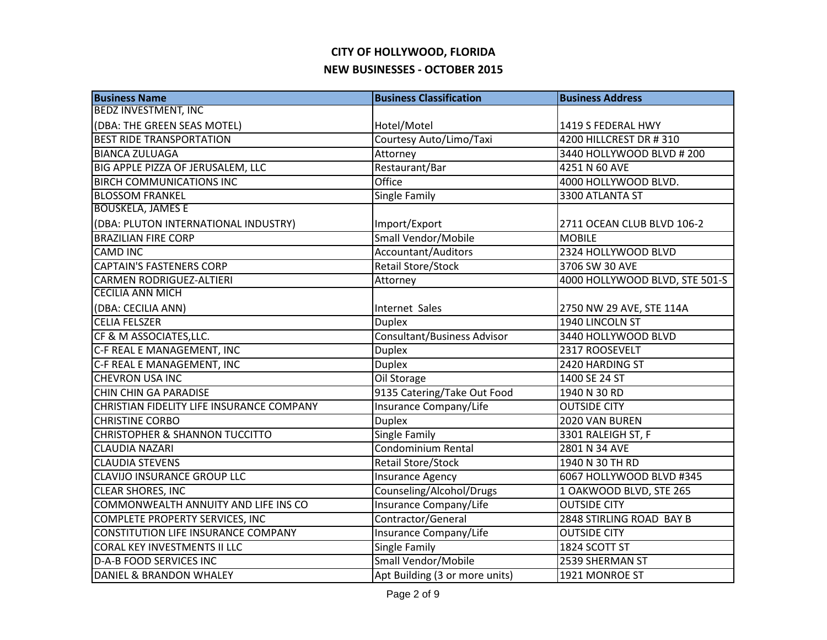| <b>Business Name</b>                      | <b>Business Classification</b>     | <b>Business Address</b>        |
|-------------------------------------------|------------------------------------|--------------------------------|
| <b>BEDZ INVESTMENT, INC</b>               |                                    |                                |
| (DBA: THE GREEN SEAS MOTEL)               | Hotel/Motel                        | 1419 S FEDERAL HWY             |
| <b>BEST RIDE TRANSPORTATION</b>           | Courtesy Auto/Limo/Taxi            | 4200 HILLCREST DR #310         |
| <b>BIANCA ZULUAGA</b>                     | Attorney                           | 3440 HOLLYWOOD BLVD #200       |
| BIG APPLE PIZZA OF JERUSALEM, LLC         | Restaurant/Bar                     | 4251 N 60 AVE                  |
| <b>BIRCH COMMUNICATIONS INC</b>           | Office                             | 4000 HOLLYWOOD BLVD.           |
| <b>BLOSSOM FRANKEL</b>                    | Single Family                      | 3300 ATLANTA ST                |
| <b>BOUSKELA, JAMES E</b>                  |                                    |                                |
| (DBA: PLUTON INTERNATIONAL INDUSTRY)      | Import/Export                      | 2711 OCEAN CLUB BLVD 106-2     |
| <b>BRAZILIAN FIRE CORP</b>                | <b>Small Vendor/Mobile</b>         | <b>MOBILE</b>                  |
| <b>CAMD INC</b>                           | Accountant/Auditors                | 2324 HOLLYWOOD BLVD            |
| <b>CAPTAIN'S FASTENERS CORP</b>           | <b>Retail Store/Stock</b>          | 3706 SW 30 AVE                 |
| <b>CARMEN RODRIGUEZ-ALTIERI</b>           | Attorney                           | 4000 HOLLYWOOD BLVD, STE 501-S |
| <b>CECILIA ANN MICH</b>                   |                                    |                                |
| (DBA: CECILIA ANN)                        | Internet Sales                     | 2750 NW 29 AVE, STE 114A       |
| <b>CELIA FELSZER</b>                      | <b>Duplex</b>                      | 1940 LINCOLN ST                |
| CF & M ASSOCIATES, LLC.                   | <b>Consultant/Business Advisor</b> | 3440 HOLLYWOOD BLVD            |
| C-F REAL E MANAGEMENT, INC                | <b>Duplex</b>                      | 2317 ROOSEVELT                 |
| C-F REAL E MANAGEMENT, INC                | <b>Duplex</b>                      | 2420 HARDING ST                |
| <b>CHEVRON USA INC</b>                    | <b>Oil Storage</b>                 | 1400 SE 24 ST                  |
| CHIN CHIN GA PARADISE                     | 9135 Catering/Take Out Food        | 1940 N 30 RD                   |
| CHRISTIAN FIDELITY LIFE INSURANCE COMPANY | Insurance Company/Life             | <b>OUTSIDE CITY</b>            |
| <b>CHRISTINE CORBO</b>                    | <b>Duplex</b>                      | 2020 VAN BUREN                 |
| <b>CHRISTOPHER &amp; SHANNON TUCCITTO</b> | Single Family                      | 3301 RALEIGH ST, F             |
| <b>CLAUDIA NAZARI</b>                     | Condominium Rental                 | 2801 N 34 AVE                  |
| <b>CLAUDIA STEVENS</b>                    | <b>Retail Store/Stock</b>          | 1940 N 30 TH RD                |
| <b>CLAVIJO INSURANCE GROUP LLC</b>        | <b>Insurance Agency</b>            | 6067 HOLLYWOOD BLVD #345       |
| <b>CLEAR SHORES, INC</b>                  | Counseling/Alcohol/Drugs           | 1 OAKWOOD BLVD, STE 265        |
| COMMONWEALTH ANNUITY AND LIFE INS CO      | Insurance Company/Life             | <b>OUTSIDE CITY</b>            |
| COMPLETE PROPERTY SERVICES, INC           | Contractor/General                 | 2848 STIRLING ROAD BAY B       |
| CONSTITUTION LIFE INSURANCE COMPANY       | Insurance Company/Life             | <b>OUTSIDE CITY</b>            |
| <b>CORAL KEY INVESTMENTS II LLC</b>       | <b>Single Family</b>               | 1824 SCOTT ST                  |
| <b>D-A-B FOOD SERVICES INC</b>            | Small Vendor/Mobile                | 2539 SHERMAN ST                |
| DANIEL & BRANDON WHALEY                   | Apt Building (3 or more units)     | 1921 MONROE ST                 |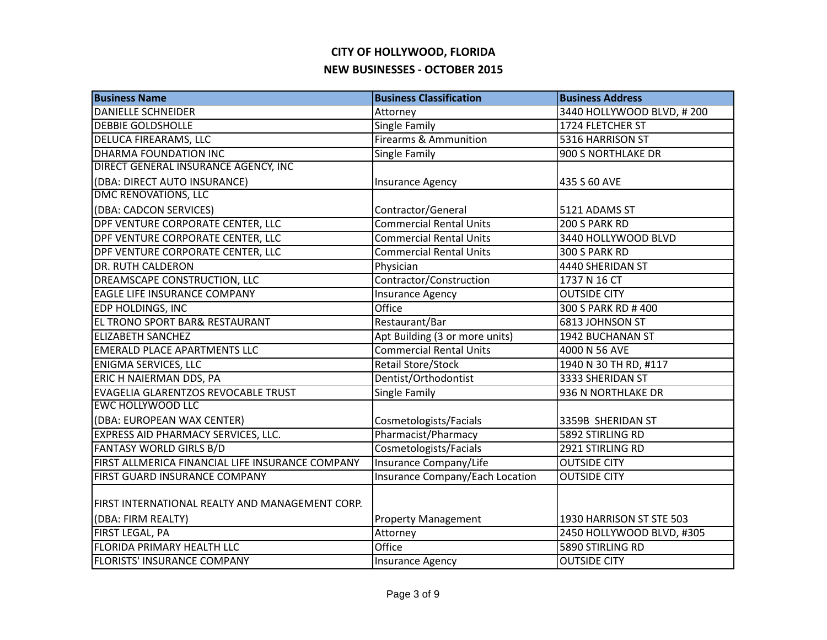| <b>Business Name</b>                             | <b>Business Classification</b>   | <b>Business Address</b>   |
|--------------------------------------------------|----------------------------------|---------------------------|
| <b>DANIELLE SCHNEIDER</b>                        | Attorney                         | 3440 HOLLYWOOD BLVD, #200 |
| <b>DEBBIE GOLDSHOLLE</b>                         | Single Family                    | 1724 FLETCHER ST          |
| DELUCA FIREARAMS, LLC                            | <b>Firearms &amp; Ammunition</b> | 5316 HARRISON ST          |
| DHARMA FOUNDATION INC                            | Single Family                    | 900 S NORTHLAKE DR        |
| DIRECT GENERAL INSURANCE AGENCY, INC             |                                  |                           |
| (DBA: DIRECT AUTO INSURANCE)                     | <b>Insurance Agency</b>          | 435 S 60 AVE              |
| <b>DMC RENOVATIONS, LLC</b>                      |                                  |                           |
| (DBA: CADCON SERVICES)                           | Contractor/General               | 5121 ADAMS ST             |
| <b>DPF VENTURE CORPORATE CENTER, LLC</b>         | <b>Commercial Rental Units</b>   | 200 S PARK RD             |
| DPF VENTURE CORPORATE CENTER, LLC                | <b>Commercial Rental Units</b>   | 3440 HOLLYWOOD BLVD       |
| <b>DPF VENTURE CORPORATE CENTER, LLC</b>         | <b>Commercial Rental Units</b>   | 300 S PARK RD             |
| <b>DR. RUTH CALDERON</b>                         | Physician                        | 4440 SHERIDAN ST          |
| <b>DREAMSCAPE CONSTRUCTION, LLC</b>              | Contractor/Construction          | 1737 N 16 CT              |
| <b>EAGLE LIFE INSURANCE COMPANY</b>              | <b>Insurance Agency</b>          | <b>OUTSIDE CITY</b>       |
| <b>EDP HOLDINGS, INC</b>                         | Office                           | 300 S PARK RD #400        |
| <b>EL TRONO SPORT BAR&amp; RESTAURANT</b>        | Restaurant/Bar                   | 6813 JOHNSON ST           |
| <b>ELIZABETH SANCHEZ</b>                         | Apt Building (3 or more units)   | 1942 BUCHANAN ST          |
| <b>EMERALD PLACE APARTMENTS LLC</b>              | <b>Commercial Rental Units</b>   | 4000 N 56 AVE             |
| <b>ENIGMA SERVICES, LLC</b>                      | <b>Retail Store/Stock</b>        | 1940 N 30 TH RD, #117     |
| ERIC H NAIERMAN DDS, PA                          | Dentist/Orthodontist             | 3333 SHERIDAN ST          |
| EVAGELIA GLARENTZOS REVOCABLE TRUST              | Single Family                    | 936 N NORTHLAKE DR        |
| <b>EWC HOLLYWOOD LLC</b>                         |                                  |                           |
| (DBA: EUROPEAN WAX CENTER)                       | Cosmetologists/Facials           | 3359B SHERIDAN ST         |
| <b>EXPRESS AID PHARMACY SERVICES, LLC.</b>       | Pharmacist/Pharmacy              | 5892 STIRLING RD          |
| <b>FANTASY WORLD GIRLS B/D</b>                   | Cosmetologists/Facials           | 2921 STIRLING RD          |
| FIRST ALLMERICA FINANCIAL LIFE INSURANCE COMPANY | Insurance Company/Life           | <b>OUTSIDE CITY</b>       |
| FIRST GUARD INSURANCE COMPANY                    | Insurance Company/Each Location  | <b>OUTSIDE CITY</b>       |
|                                                  |                                  |                           |
| FIRST INTERNATIONAL REALTY AND MANAGEMENT CORP.  |                                  |                           |
| (DBA: FIRM REALTY)                               | <b>Property Management</b>       | 1930 HARRISON ST STE 503  |
| FIRST LEGAL, PA                                  | Attorney                         | 2450 HOLLYWOOD BLVD, #305 |
| FLORIDA PRIMARY HEALTH LLC                       | <b>Office</b>                    | 5890 STIRLING RD          |
| <b>FLORISTS' INSURANCE COMPANY</b>               | <b>Insurance Agency</b>          | <b>OUTSIDE CITY</b>       |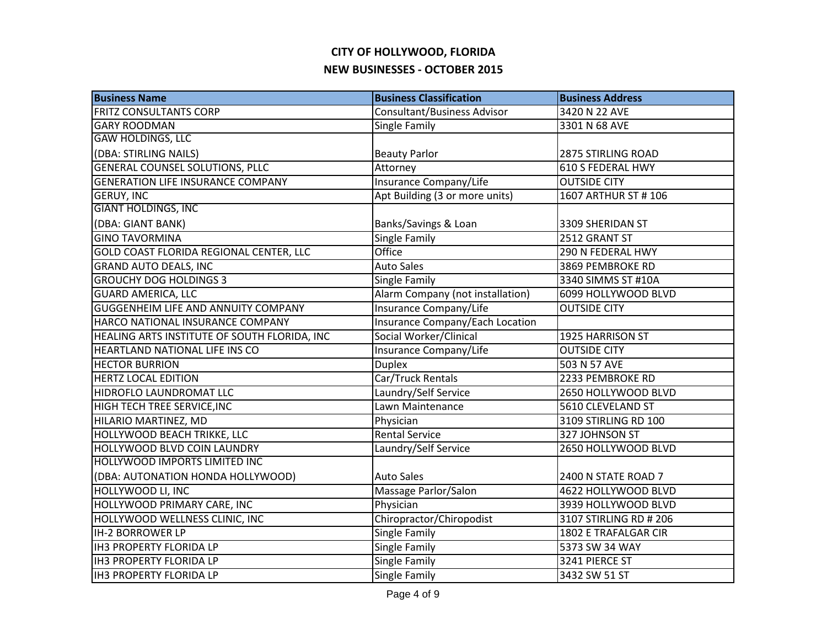| <b>Business Name</b>                         | <b>Business Classification</b>   | <b>Business Address</b>   |
|----------------------------------------------|----------------------------------|---------------------------|
| <b>FRITZ CONSULTANTS CORP</b>                | Consultant/Business Advisor      | 3420 N 22 AVE             |
| <b>GARY ROODMAN</b>                          | Single Family                    | 3301 N 68 AVE             |
| <b>GAW HOLDINGS, LLC</b>                     |                                  |                           |
| (DBA: STIRLING NAILS)                        | <b>Beauty Parlor</b>             | <b>2875 STIRLING ROAD</b> |
| <b>GENERAL COUNSEL SOLUTIONS, PLLC</b>       | Attorney                         | <b>610 S FEDERAL HWY</b>  |
| <b>GENERATION LIFE INSURANCE COMPANY</b>     | Insurance Company/Life           | <b>OUTSIDE CITY</b>       |
| <b>GERUY, INC</b>                            | Apt Building (3 or more units)   | 1607 ARTHUR ST # 106      |
| <b>GIANT HOLDINGS, INC</b>                   |                                  |                           |
| (DBA: GIANT BANK)                            | Banks/Savings & Loan             | 3309 SHERIDAN ST          |
| <b>GINO TAVORMINA</b>                        | Single Family                    | 2512 GRANT ST             |
| GOLD COAST FLORIDA REGIONAL CENTER, LLC      | Office                           | 290 N FEDERAL HWY         |
| <b>GRAND AUTO DEALS, INC</b>                 | <b>Auto Sales</b>                | 3869 PEMBROKE RD          |
| <b>GROUCHY DOG HOLDINGS 3</b>                | Single Family                    | 3340 SIMMS ST #10A        |
| <b>GUARD AMERICA, LLC</b>                    | Alarm Company (not installation) | 6099 HOLLYWOOD BLVD       |
| <b>GUGGENHEIM LIFE AND ANNUITY COMPANY</b>   | Insurance Company/Life           | <b>OUTSIDE CITY</b>       |
| HARCO NATIONAL INSURANCE COMPANY             | Insurance Company/Each Location  |                           |
| HEALING ARTS INSTITUTE OF SOUTH FLORIDA, INC | Social Worker/Clinical           | 1925 HARRISON ST          |
| <b>HEARTLAND NATIONAL LIFE INS CO</b>        | Insurance Company/Life           | <b>OUTSIDE CITY</b>       |
| <b>HECTOR BURRION</b>                        | <b>Duplex</b>                    | 503 N 57 AVE              |
| <b>HERTZ LOCAL EDITION</b>                   | Car/Truck Rentals                | 2233 PEMBROKE RD          |
| HIDROFLO LAUNDROMAT LLC                      | Laundry/Self Service             | 2650 HOLLYWOOD BLVD       |
| HIGH TECH TREE SERVICE, INC                  | Lawn Maintenance                 | 5610 CLEVELAND ST         |
| HILARIO MARTINEZ, MD                         | Physician                        | 3109 STIRLING RD 100      |
| HOLLYWOOD BEACH TRIKKE, LLC                  | <b>Rental Service</b>            | 327 JOHNSON ST            |
| HOLLYWOOD BLVD COIN LAUNDRY                  | Laundry/Self Service             | 2650 HOLLYWOOD BLVD       |
| HOLLYWOOD IMPORTS LIMITED INC                |                                  |                           |
| (DBA: AUTONATION HONDA HOLLYWOOD)            | <b>Auto Sales</b>                | 2400 N STATE ROAD 7       |
| HOLLYWOOD LI, INC                            | Massage Parlor/Salon             | 4622 HOLLYWOOD BLVD       |
| HOLLYWOOD PRIMARY CARE, INC                  | Physician                        | 3939 HOLLYWOOD BLVD       |
| HOLLYWOOD WELLNESS CLINIC, INC               | Chiropractor/Chiropodist         | 3107 STIRLING RD # 206    |
| <b>IH-2 BORROWER LP</b>                      | Single Family                    | 1802 E TRAFALGAR CIR      |
| <b>IH3 PROPERTY FLORIDA LP</b>               | Single Family                    | 5373 SW 34 WAY            |
| <b>IH3 PROPERTY FLORIDA LP</b>               | Single Family                    | 3241 PIERCE ST            |
| <b>IH3 PROPERTY FLORIDA LP</b>               | Single Family                    | 3432 SW 51 ST             |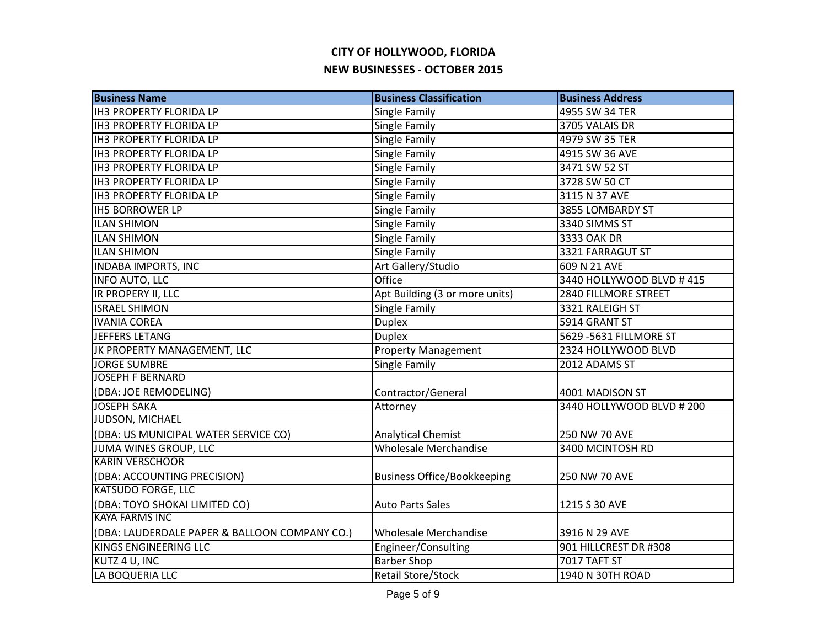| <b>Business Name</b>                          | <b>Business Classification</b>     | <b>Business Address</b>  |
|-----------------------------------------------|------------------------------------|--------------------------|
| <b>IH3 PROPERTY FLORIDA LP</b>                | Single Family                      | 4955 SW 34 TER           |
| <b>IH3 PROPERTY FLORIDA LP</b>                | Single Family                      | 3705 VALAIS DR           |
| <b>IH3 PROPERTY FLORIDA LP</b>                | Single Family                      | 4979 SW 35 TER           |
| <b>IH3 PROPERTY FLORIDA LP</b>                | Single Family                      | 4915 SW 36 AVE           |
| <b>IH3 PROPERTY FLORIDA LP</b>                | Single Family                      | 3471 SW 52 ST            |
| <b>IH3 PROPERTY FLORIDA LP</b>                | Single Family                      | 3728 SW 50 CT            |
| <b>IH3 PROPERTY FLORIDA LP</b>                | Single Family                      | 3115 N 37 AVE            |
| <b>IH5 BORROWER LP</b>                        | Single Family                      | 3855 LOMBARDY ST         |
| <b>ILAN SHIMON</b>                            | Single Family                      | 3340 SIMMS ST            |
| <b>ILAN SHIMON</b>                            | Single Family                      | 3333 OAK DR              |
| <b>ILAN SHIMON</b>                            | Single Family                      | 3321 FARRAGUT ST         |
| <b>INDABA IMPORTS, INC</b>                    | Art Gallery/Studio                 | 609 N 21 AVE             |
| <b>INFO AUTO, LLC</b>                         | <b>Office</b>                      | 3440 HOLLYWOOD BLVD #415 |
| IR PROPERY II, LLC                            | Apt Building (3 or more units)     | 2840 FILLMORE STREET     |
| <b>ISRAEL SHIMON</b>                          | Single Family                      | 3321 RALEIGH ST          |
| <b>IVANIA COREA</b>                           | <b>Duplex</b>                      | 5914 GRANT ST            |
| JEFFERS LETANG                                | <b>Duplex</b>                      | 5629 - 5631 FILLMORE ST  |
| JK PROPERTY MANAGEMENT, LLC                   | <b>Property Management</b>         | 2324 HOLLYWOOD BLVD      |
| <b>JORGE SUMBRE</b>                           | Single Family                      | 2012 ADAMS ST            |
| <b>JOSEPH F BERNARD</b>                       |                                    |                          |
| (DBA: JOE REMODELING)                         | Contractor/General                 | 4001 MADISON ST          |
| <b>JOSEPH SAKA</b>                            | Attorney                           | 3440 HOLLYWOOD BLVD #200 |
| <b>JUDSON, MICHAEL</b>                        |                                    |                          |
| (DBA: US MUNICIPAL WATER SERVICE CO)          | <b>Analytical Chemist</b>          | 250 NW 70 AVE            |
| JUMA WINES GROUP, LLC                         | Wholesale Merchandise              | 3400 MCINTOSH RD         |
| <b>KARIN VERSCHOOR</b>                        |                                    |                          |
| (DBA: ACCOUNTING PRECISION)                   | <b>Business Office/Bookkeeping</b> | 250 NW 70 AVE            |
| <b>KATSUDO FORGE, LLC</b>                     |                                    |                          |
| (DBA: TOYO SHOKAI LIMITED CO)                 | <b>Auto Parts Sales</b>            | 1215 S 30 AVE            |
| <b>KAYA FARMS INC</b>                         |                                    |                          |
| (DBA: LAUDERDALE PAPER & BALLOON COMPANY CO.) | <b>Wholesale Merchandise</b>       | 3916 N 29 AVE            |
| <b>KINGS ENGINEERING LLC</b>                  | Engineer/Consulting                | 901 HILLCREST DR #308    |
| KUTZ 4 U, INC                                 | <b>Barber Shop</b>                 | 7017 TAFT ST             |
| LA BOQUERIA LLC                               | Retail Store/Stock                 | 1940 N 30TH ROAD         |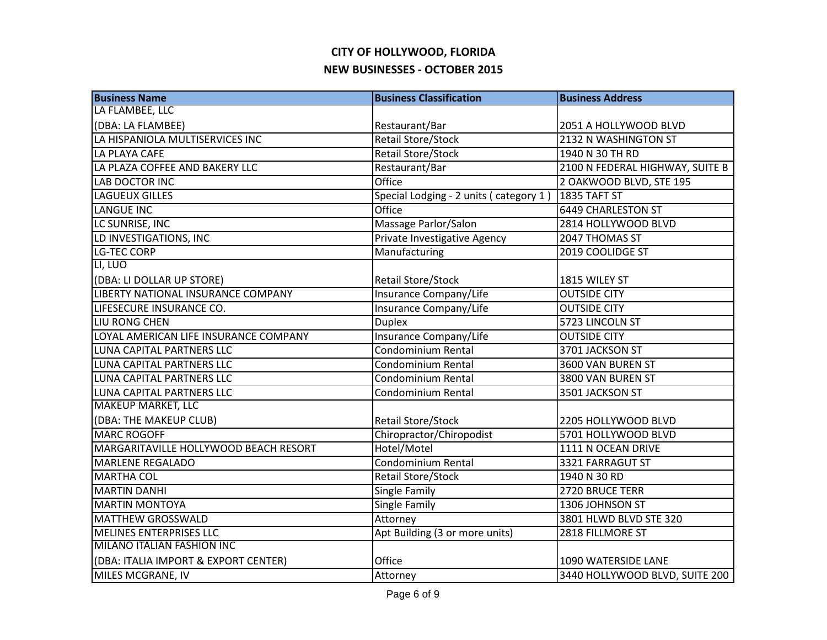| <b>Business Name</b>                  | <b>Business Classification</b>         | <b>Business Address</b>         |
|---------------------------------------|----------------------------------------|---------------------------------|
| LA FLAMBEE, LLC                       |                                        |                                 |
| (DBA: LA FLAMBEE)                     | Restaurant/Bar                         | 2051 A HOLLYWOOD BLVD           |
| LA HISPANIOLA MULTISERVICES INC       | <b>Retail Store/Stock</b>              | 2132 N WASHINGTON ST            |
| LA PLAYA CAFE                         | <b>Retail Store/Stock</b>              | 1940 N 30 TH RD                 |
| LA PLAZA COFFEE AND BAKERY LLC        | Restaurant/Bar                         | 2100 N FEDERAL HIGHWAY, SUITE B |
| <b>LAB DOCTOR INC</b>                 | <b>Office</b>                          | 2 OAKWOOD BLVD, STE 195         |
| <b>LAGUEUX GILLES</b>                 | Special Lodging - 2 units (category 1) | 1835 TAFT ST                    |
| LANGUE INC                            | Office                                 | <b>6449 CHARLESTON ST</b>       |
| LC SUNRISE, INC                       | Massage Parlor/Salon                   | 2814 HOLLYWOOD BLVD             |
| LD INVESTIGATIONS, INC                | Private Investigative Agency           | 2047 THOMAS ST                  |
| <b>LG-TEC CORP</b>                    | Manufacturing                          | 2019 COOLIDGE ST                |
| LI, LUO                               |                                        |                                 |
| (DBA: LI DOLLAR UP STORE)             | <b>Retail Store/Stock</b>              | 1815 WILEY ST                   |
| LIBERTY NATIONAL INSURANCE COMPANY    | <b>Insurance Company/Life</b>          | <b>OUTSIDE CITY</b>             |
| LIFESECURE INSURANCE CO.              | Insurance Company/Life                 | <b>OUTSIDE CITY</b>             |
| LIU RONG CHEN                         | <b>Duplex</b>                          | 5723 LINCOLN ST                 |
| LOYAL AMERICAN LIFE INSURANCE COMPANY | Insurance Company/Life                 | <b>OUTSIDE CITY</b>             |
| LUNA CAPITAL PARTNERS LLC             | Condominium Rental                     | 3701 JACKSON ST                 |
| LUNA CAPITAL PARTNERS LLC             | Condominium Rental                     | 3600 VAN BUREN ST               |
| LUNA CAPITAL PARTNERS LLC             | Condominium Rental                     | 3800 VAN BUREN ST               |
| LUNA CAPITAL PARTNERS LLC             | Condominium Rental                     | 3501 JACKSON ST                 |
| <b>MAKEUP MARKET, LLC</b>             |                                        |                                 |
| (DBA: THE MAKEUP CLUB)                | Retail Store/Stock                     | 2205 HOLLYWOOD BLVD             |
| <b>MARC ROGOFF</b>                    | Chiropractor/Chiropodist               | 5701 HOLLYWOOD BLVD             |
| MARGARITAVILLE HOLLYWOOD BEACH RESORT | Hotel/Motel                            | 1111 N OCEAN DRIVE              |
| <b>MARLENE REGALADO</b>               | Condominium Rental                     | 3321 FARRAGUT ST                |
| <b>MARTHA COL</b>                     | <b>Retail Store/Stock</b>              | 1940 N 30 RD                    |
| <b>MARTIN DANHI</b>                   | Single Family                          | 2720 BRUCE TERR                 |
| <b>MARTIN MONTOYA</b>                 | Single Family                          | 1306 JOHNSON ST                 |
| <b>MATTHEW GROSSWALD</b>              | Attorney                               | 3801 HLWD BLVD STE 320          |
| MELINES ENTERPRISES LLC               | Apt Building (3 or more units)         | 2818 FILLMORE ST                |
| <b>MILANO ITALIAN FASHION INC</b>     |                                        |                                 |
| (DBA: ITALIA IMPORT & EXPORT CENTER)  | Office                                 | 1090 WATERSIDE LANE             |
| MILES MCGRANE, IV                     | Attorney                               | 3440 HOLLYWOOD BLVD, SUITE 200  |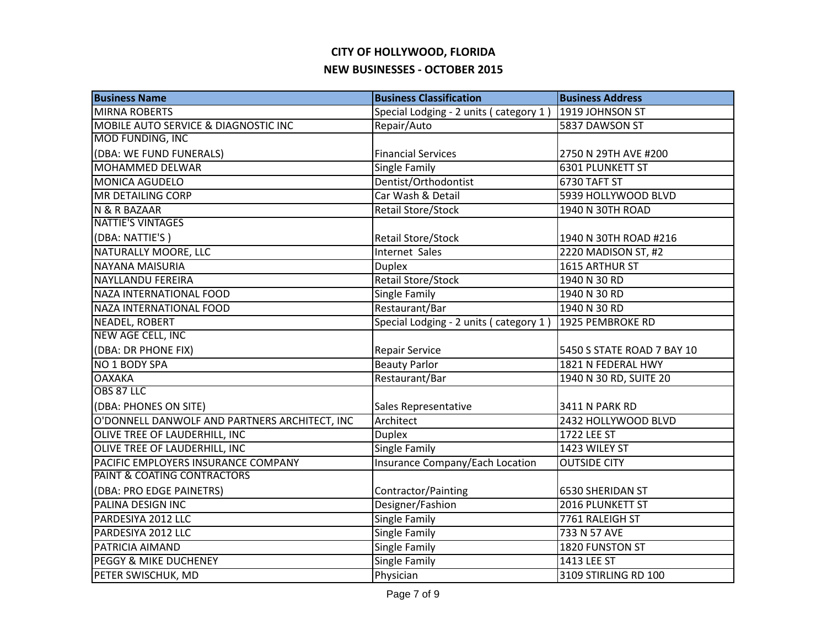| <b>Business Name</b>                          | <b>Business Classification</b>         | <b>Business Address</b>    |
|-----------------------------------------------|----------------------------------------|----------------------------|
| <b>MIRNA ROBERTS</b>                          | Special Lodging - 2 units (category 1) | 1919 JOHNSON ST            |
| MOBILE AUTO SERVICE & DIAGNOSTIC INC          | Repair/Auto                            | 5837 DAWSON ST             |
| <b>MOD FUNDING, INC</b>                       |                                        |                            |
| (DBA: WE FUND FUNERALS)                       | <b>Financial Services</b>              | 2750 N 29TH AVE #200       |
| <b>MOHAMMED DELWAR</b>                        | Single Family                          | 6301 PLUNKETT ST           |
| <b>MONICA AGUDELO</b>                         | Dentist/Orthodontist                   | 6730 TAFT ST               |
| <b>MR DETAILING CORP</b>                      | Car Wash & Detail                      | 5939 HOLLYWOOD BLVD        |
| N & R BAZAAR                                  | <b>Retail Store/Stock</b>              | 1940 N 30TH ROAD           |
| <b>NATTIE'S VINTAGES</b>                      |                                        |                            |
| (DBA: NATTIE'S)                               | Retail Store/Stock                     | 1940 N 30TH ROAD #216      |
| NATURALLY MOORE, LLC                          | <b>Internet Sales</b>                  | 2220 MADISON ST, #2        |
| <b>NAYANA MAISURIA</b>                        | <b>Duplex</b>                          | 1615 ARTHUR ST             |
| <b>NAYLLANDU FEREIRA</b>                      | <b>Retail Store/Stock</b>              | 1940 N 30 RD               |
| NAZA INTERNATIONAL FOOD                       | Single Family                          | 1940 N 30 RD               |
| NAZA INTERNATIONAL FOOD                       | Restaurant/Bar                         | 1940 N 30 RD               |
| NEADEL, ROBERT                                | Special Lodging - 2 units (category 1) | 1925 PEMBROKE RD           |
| NEW AGE CELL, INC                             |                                        |                            |
| (DBA: DR PHONE FIX)                           | Repair Service                         | 5450 S STATE ROAD 7 BAY 10 |
| NO 1 BODY SPA                                 | <b>Beauty Parlor</b>                   | 1821 N FEDERAL HWY         |
| <b>OAXAKA</b>                                 | Restaurant/Bar                         | 1940 N 30 RD, SUITE 20     |
| OBS 87 LLC                                    |                                        |                            |
| (DBA: PHONES ON SITE)                         | Sales Representative                   | <b>3411 N PARK RD</b>      |
| O'DONNELL DANWOLF AND PARTNERS ARCHITECT, INC | Architect                              | 2432 HOLLYWOOD BLVD        |
| OLIVE TREE OF LAUDERHILL, INC                 | <b>Duplex</b>                          | <b>1722 LEE ST</b>         |
| OLIVE TREE OF LAUDERHILL, INC                 | <b>Single Family</b>                   | 1423 WILEY ST              |
| PACIFIC EMPLOYERS INSURANCE COMPANY           | Insurance Company/Each Location        | <b>OUTSIDE CITY</b>        |
| PAINT & COATING CONTRACTORS                   |                                        |                            |
| (DBA: PRO EDGE PAINETRS)                      | Contractor/Painting                    | 6530 SHERIDAN ST           |
| PALINA DESIGN INC                             | Designer/Fashion                       | 2016 PLUNKETT ST           |
| PARDESIYA 2012 LLC                            | Single Family                          | 7761 RALEIGH ST            |
| PARDESIYA 2012 LLC                            | Single Family                          | 733 N 57 AVE               |
| PATRICIA AIMAND                               | <b>Single Family</b>                   | 1820 FUNSTON ST            |
| PEGGY & MIKE DUCHENEY                         | <b>Single Family</b>                   | 1413 LEE ST                |
| PETER SWISCHUK, MD                            | Physician                              | 3109 STIRLING RD 100       |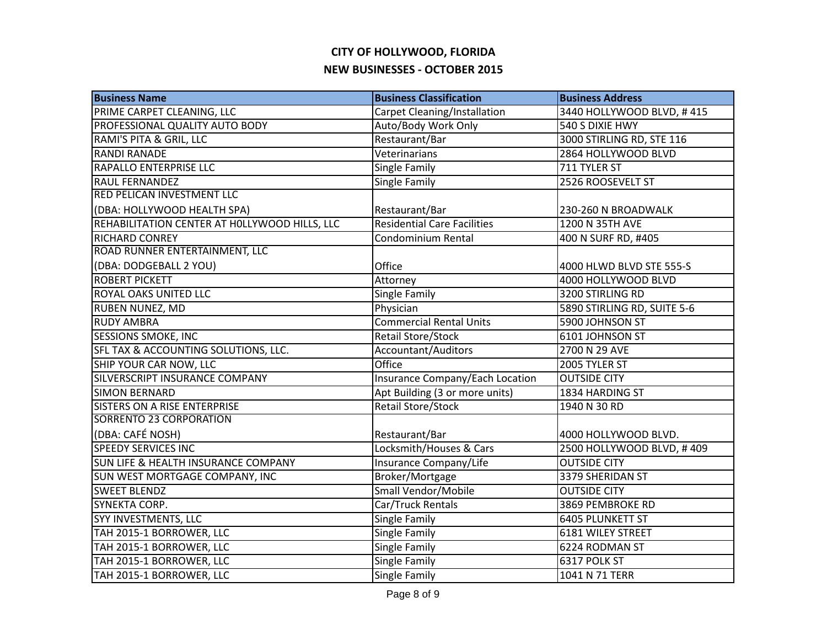| <b>Business Name</b>                            | <b>Business Classification</b>         | <b>Business Address</b>     |
|-------------------------------------------------|----------------------------------------|-----------------------------|
| PRIME CARPET CLEANING, LLC                      | Carpet Cleaning/Installation           | 3440 HOLLYWOOD BLVD, #415   |
| PROFESSIONAL QUALITY AUTO BODY                  | Auto/Body Work Only                    | 540 S DIXIE HWY             |
| <b>RAMI'S PITA &amp; GRIL, LLC</b>              | Restaurant/Bar                         | 3000 STIRLING RD, STE 116   |
| <b>RANDI RANADE</b>                             | Veterinarians                          | 2864 HOLLYWOOD BLVD         |
| RAPALLO ENTERPRISE LLC                          | Single Family                          | 711 TYLER ST                |
| <b>RAUL FERNANDEZ</b>                           | Single Family                          | 2526 ROOSEVELT ST           |
| <b>RED PELICAN INVESTMENT LLC</b>               |                                        |                             |
| (DBA: HOLLYWOOD HEALTH SPA)                     | Restaurant/Bar                         | 230-260 N BROADWALK         |
| REHABILITATION CENTER AT HOLLYWOOD HILLS, LLC   | <b>Residential Care Facilities</b>     | 1200 N 35TH AVE             |
| <b>RICHARD CONREY</b>                           | Condominium Rental                     | 400 N SURF RD, #405         |
| ROAD RUNNER ENTERTAINMENT, LLC                  |                                        |                             |
| (DBA: DODGEBALL 2 YOU)                          | Office                                 | 4000 HLWD BLVD STE 555-S    |
| <b>ROBERT PICKETT</b>                           | Attorney                               | 4000 HOLLYWOOD BLVD         |
| ROYAL OAKS UNITED LLC                           | Single Family                          | 3200 STIRLING RD            |
| <b>RUBEN NUNEZ, MD</b>                          | Physician                              | 5890 STIRLING RD, SUITE 5-6 |
| <b>RUDY AMBRA</b>                               | <b>Commercial Rental Units</b>         | 5900 JOHNSON ST             |
| <b>SESSIONS SMOKE, INC</b>                      | Retail Store/Stock                     | 6101 JOHNSON ST             |
| <b>SFL TAX &amp; ACCOUNTING SOLUTIONS, LLC.</b> | <b>Accountant/Auditors</b>             | 2700 N 29 AVE               |
| SHIP YOUR CAR NOW, LLC                          | Office                                 | 2005 TYLER ST               |
| SILVERSCRIPT INSURANCE COMPANY                  | <b>Insurance Company/Each Location</b> | <b>OUTSIDE CITY</b>         |
| <b>SIMON BERNARD</b>                            | Apt Building (3 or more units)         | 1834 HARDING ST             |
| <b>SISTERS ON A RISE ENTERPRISE</b>             | <b>Retail Store/Stock</b>              | 1940 N 30 RD                |
| SORRENTO 23 CORPORATION                         |                                        |                             |
| (DBA: CAFÉ NOSH)                                | Restaurant/Bar                         | 4000 HOLLYWOOD BLVD.        |
| <b>SPEEDY SERVICES INC</b>                      | Locksmith/Houses & Cars                | 2500 HOLLYWOOD BLVD, #409   |
| <b>SUN LIFE &amp; HEALTH INSURANCE COMPANY</b>  | Insurance Company/Life                 | <b>OUTSIDE CITY</b>         |
| SUN WEST MORTGAGE COMPANY, INC                  | Broker/Mortgage                        | 3379 SHERIDAN ST            |
| <b>SWEET BLENDZ</b>                             | <b>Small Vendor/Mobile</b>             | <b>OUTSIDE CITY</b>         |
| <b>SYNEKTA CORP.</b>                            | Car/Truck Rentals                      | 3869 PEMBROKE RD            |
| <b>SYY INVESTMENTS, LLC</b>                     | Single Family                          | <b>6405 PLUNKETT ST</b>     |
| TAH 2015-1 BORROWER, LLC                        | Single Family                          | <b>6181 WILEY STREET</b>    |
| TAH 2015-1 BORROWER, LLC                        | <b>Single Family</b>                   | 6224 RODMAN ST              |
| TAH 2015-1 BORROWER, LLC                        | Single Family                          | 6317 POLK ST                |
| TAH 2015-1 BORROWER, LLC                        | Single Family                          | 1041 N 71 TERR              |